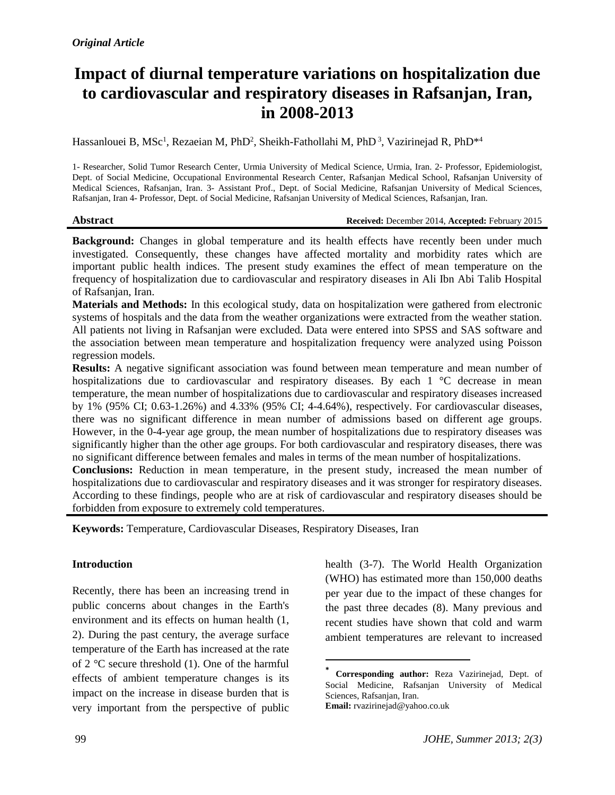# **Impact of diurnal temperature variations on hospitalization due to cardiovascular and respiratory diseases in Rafsanjan, Iran, in 2008-2013**

Hassanlouei B, MSc<sup>1</sup>, Rezaeian M, PhD<sup>2</sup>, Sheikh-Fathollahi M, PhD<sup>3</sup>, Vazirinejad R, PhD<sup>\*4</sup>

1- Researcher, Solid Tumor Research Center, Urmia University of Medical Science, Urmia, Iran. 2- Professor, Epidemiologist, Dept. of Social Medicine, Occupational Environmental Research Center, Rafsanjan Medical School, Rafsanjan University of Medical Sciences, Rafsanjan, Iran. 3- Assistant Prof., Dept. of Social Medicine, Rafsanjan University of Medical Sciences, Rafsanjan, Iran 4- Professor, Dept. of Social Medicine, Rafsanjan University of Medical Sciences, Rafsanjan, Iran.

#### **Abstract Received:** December 2014, **Accepted:** February 2015

**Background:** Changes in global temperature and its health effects have recently been under much investigated. Consequently, these changes have affected mortality and morbidity rates which are important public health indices. The present study examines the effect of mean temperature on the frequency of hospitalization due to cardiovascular and respiratory diseases in Ali Ibn Abi Talib Hospital of Rafsanjan, Iran.

**Materials and Methods:** In this ecological study, data on hospitalization were gathered from electronic systems of hospitals and the data from the weather organizations were extracted from the weather station. All patients not living in Rafsanjan were excluded. Data were entered into SPSS and SAS software and the association between mean temperature and hospitalization frequency were analyzed using Poisson regression models.

**Results:** A negative significant association was found between mean temperature and mean number of hospitalizations due to cardiovascular and respiratory diseases. By each 1 °C decrease in mean temperature, the mean number of hospitalizations due to cardiovascular and respiratory diseases increased by 1% (95% CI; 0.63-1.26%) and 4.33% (95% CI; 4-4.64%), respectively. For cardiovascular diseases, there was no significant difference in mean number of admissions based on different age groups. However, in the 0-4-year age group, the mean number of hospitalizations due to respiratory diseases was significantly higher than the other age groups. For both cardiovascular and respiratory diseases, there was no significant difference between females and males in terms of the mean number of hospitalizations.

**Conclusions:** Reduction in mean temperature, in the present study, increased the mean number of hospitalizations due to cardiovascular and respiratory diseases and it was stronger for respiratory diseases. According to these findings, people who are at risk of cardiovascular and respiratory diseases should be forbidden from exposure to extremely cold temperatures.

 $\overline{\phantom{a}}$ 

**Keywords:** Temperature, Cardiovascular Diseases, Respiratory Diseases, Iran

#### **Introduction**

Recently, there has been an increasing trend in public concerns about changes in the Earth's environment and its effects on human health (1, 2). During the past century, the average surface temperature of the Earth has increased at the rate of 2 °C secure threshold (1). One of the harmful effects of ambient temperature changes is its impact on the increase in disease burden that is very important from the perspective of public

health (3-7). The World Health Organization (WHO) has estimated more than 150,000 deaths per year due to the impact of these changes for the past three decades (8). Many previous and recent studies have shown that cold and warm ambient temperatures are relevant to increased

**<sup>\*</sup> Corresponding author:** Reza Vazirinejad, Dept. of Social Medicine, Rafsanjan University of Medical Sciences, Rafsanjan, Iran. **Email:** rvazirinejad@yahoo.co.uk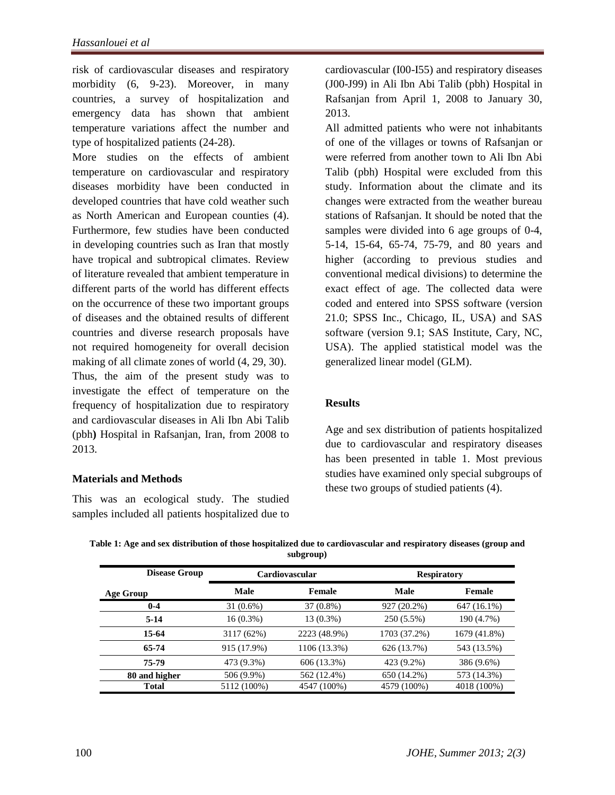risk of cardiovascular diseases and respiratory morbidity (6, 9-23). Moreover, in many countries, a survey of hospitalization and emergency data has shown that ambient temperature variations affect the number and type of hospitalized patients (24-28).

More studies on the effects of ambient temperature on cardiovascular and respiratory diseases morbidity have been conducted in developed countries that have cold weather such as North American and European counties (4). Furthermore, few studies have been conducted in developing countries such as Iran that mostly have tropical and subtropical climates. Review of literature revealed that ambient temperature in different parts of the world has different effects on the occurrence of these two important groups of diseases and the obtained results of different countries and diverse research proposals have not required homogeneity for overall decision making of all climate zones of world (4, 29, 30). Thus, the aim of the present study was to investigate the effect of temperature on the frequency of hospitalization due to respiratory and cardiovascular diseases in Ali Ibn Abi Talib (pbh**)** Hospital in Rafsanjan, Iran, from 2008 to 2013.

#### **Materials and Methods**

This was an ecological study. The studied samples included all patients hospitalized due to

cardiovascular (I00-I55) and respiratory diseases (J00-J99) in Ali Ibn Abi Talib (pbh) Hospital in Rafsanjan from April 1, 2008 to January 30, 2013.

All admitted patients who were not inhabitants of one of the villages or towns of Rafsanjan or were referred from another town to Ali Ibn Abi Talib (pbh) Hospital were excluded from this study. Information about the climate and its changes were extracted from the weather bureau stations of Rafsanjan. It should be noted that the samples were divided into 6 age groups of 0-4, 5-14, 15-64, 65-74, 75-79, and 80 years and higher (according to previous studies and conventional medical divisions) to determine the exact effect of age. The collected data were coded and entered into SPSS software (version 21.0; SPSS Inc., Chicago, IL, USA) and SAS software (version 9.1; SAS Institute, Cary, NC, USA). The applied statistical model was the generalized linear model (GLM).

#### **Results**

Age and sex distribution of patients hospitalized due to cardiovascular and respiratory diseases has been presented in table 1. Most previous studies have examined only special subgroups of these two groups of studied patients (4).

| Table 1: Age and sex distribution of those hospitalized due to cardiovascular and respiratory diseases (group and |  |
|-------------------------------------------------------------------------------------------------------------------|--|
| subgroup)                                                                                                         |  |

| <b>Disease Group</b> | <b>Cardiovascular</b> |              | <b>Respiratory</b> |              |
|----------------------|-----------------------|--------------|--------------------|--------------|
| Age Group            | Male                  | Female       | Male               | Female       |
| $0 - 4$              | 31 (0.6%)             | 37 (0.8%)    | 927 (20.2%)        | 647 (16.1%)  |
| $5-14$               | $16(0.3\%)$           | 13 (0.3%)    | 250 (5.5%)         | 190 (4.7%)   |
| 15-64                | 3117 (62%)            | 2223 (48.9%) | 1703 (37.2%)       | 1679 (41.8%) |
| 65-74                | 915 (17.9%)           | 1106 (13.3%) | 626 (13.7%)        | 543 (13.5%)  |
| 75-79                | 473 (9.3%)            | 606 (13.3%)  | 423 (9.2%)         | 386 (9.6%)   |
| 80 and higher        | 506 (9.9%)            | 562 (12.4%)  | 650 (14.2%)        | 573 (14.3%)  |
| <b>Total</b>         | 5112 (100%)           | 4547 (100%)  | 4579 (100%)        | 4018 (100%)  |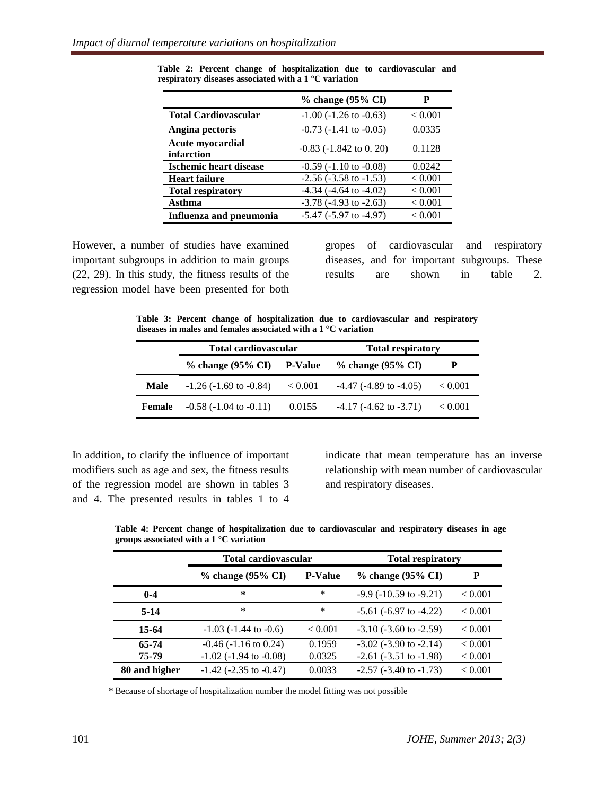|                                       | % change (95% CI)              | Р       |
|---------------------------------------|--------------------------------|---------|
| <b>Total Cardiovascular</b>           | $-1.00$ ( $-1.26$ to $-0.63$ ) | < 0.001 |
| Angina pectoris                       | $-0.73$ ( $-1.41$ to $-0.05$ ) | 0.0335  |
| <b>Acute myocardial</b><br>infarction | $-0.83$ ( $-1.842$ to 0. 20)   | 0.1128  |
| <b>Ischemic heart disease</b>         | $-0.59$ ( $-1.10$ to $-0.08$ ) | 0.0242  |
| <b>Heart failure</b>                  | $-2.56$ ( $-3.58$ to $-1.53$ ) | < 0.001 |
| <b>Total respiratory</b>              | $-4.34$ ( $-4.64$ to $-4.02$ ) | < 0.001 |
| Asthma                                | $-3.78$ ( $-4.93$ to $-2.63$ ) | < 0.001 |
| <b>Influenza and pneumonia</b>        | $-5.47$ ( $-5.97$ to $-4.97$ ) | < 0.001 |

**Table 2: Percent change of hospitalization due to cardiovascular and respiratory diseases associated with a 1 °C variation**

However, a number of studies have examined important subgroups in addition to main groups (22, 29). In this study, the fitness results of the regression model have been presented for both gropes of cardiovascular and respiratory diseases, and for important subgroups. These results are shown in table 2.

**Table 3: Percent change of hospitalization due to cardiovascular and respiratory diseases in males and females associated with a 1 °C variation**

|               | <b>Total cardiovascular</b>    |                | <b>Total respiratory</b>       |                |
|---------------|--------------------------------|----------------|--------------------------------|----------------|
|               | $%$ change (95% CI)            | <b>P-Value</b> | $%$ change (95% CI)            | Р              |
| Male          | $-1.26$ ( $-1.69$ to $-0.84$ ) | ${}< 0.001$    | $-4.47$ ( $-4.89$ to $-4.05$ ) | ${}_{< 0.001}$ |
| <b>Female</b> | $-0.58$ ( $-1.04$ to $-0.11$ ) | 0.0155         | $-4.17$ ( $-4.62$ to $-3.71$ ) | < 0.001        |

In addition, to clarify the influence of important modifiers such as age and sex, the fitness results of the regression model are shown in tables 3 and 4. The presented results in tables 1 to 4 indicate that mean temperature has an inverse relationship with mean number of cardiovascular and respiratory diseases.

|               | <b>Total cardiovascular</b>    |                | <b>Total respiratory</b>       |         |
|---------------|--------------------------------|----------------|--------------------------------|---------|
|               | % change (95% CI)              | <b>P-Value</b> | $%$ change (95% CI)            | P       |
| $0 - 4$       | ∗                              | *              | $-9.9$ ( $-10.59$ to $-9.21$ ) | < 0.001 |
| $5-14$        | *                              | *              | $-5.61$ ( $-6.97$ to $-4.22$ ) | < 0.001 |
| 15-64         | $-1.03$ ( $-1.44$ to $-0.6$ )  | < 0.001        | $-3.10$ ( $-3.60$ to $-2.59$ ) | < 0.001 |
| 65-74         | $-0.46$ ( $-1.16$ to 0.24)     | 0.1959         | $-3.02$ ( $-3.90$ to $-2.14$ ) | < 0.001 |
| 75-79         | $-1.02$ ( $-1.94$ to $-0.08$ ) | 0.0325         | $-2.61$ ( $-3.51$ to $-1.98$ ) | < 0.001 |
| 80 and higher | $-1.42$ ( $-2.35$ to $-0.47$ ) | 0.0033         | $-2.57$ ( $-3.40$ to $-1.73$ ) | < 0.001 |

**Table 4: Percent change of hospitalization due to cardiovascular and respiratory diseases in age groups associated with a 1 °C variation**

\* Because of shortage of hospitalization number the model fitting was not possible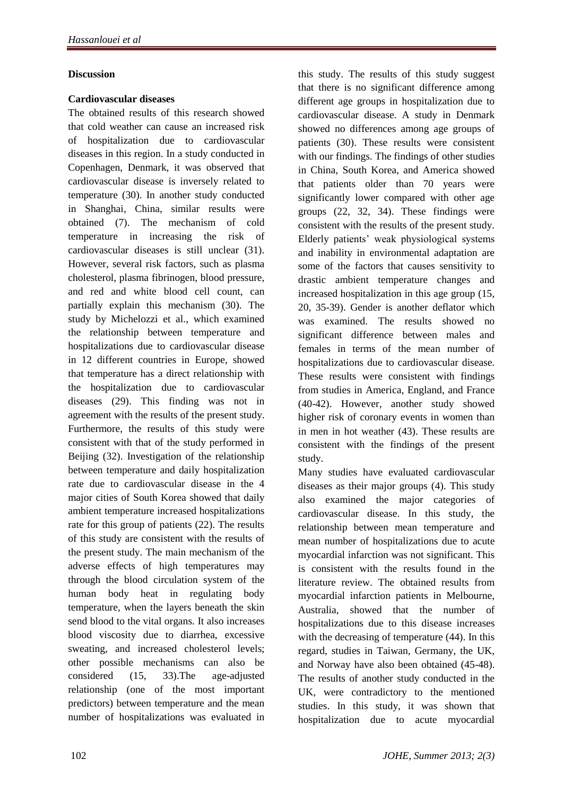#### **Discussion**

#### **Cardiovascular diseases**

The obtained results of this research showed that cold weather can cause an increased risk of hospitalization due to cardiovascular diseases in this region. In a study conducted in Copenhagen, Denmark, it was observed that cardiovascular disease is inversely related to temperature (30). In another study conducted in Shanghai, China, similar results were obtained (7). The mechanism of cold temperature in increasing the risk of cardiovascular diseases is still unclear (31). However, several risk factors, such as plasma cholesterol, plasma fibrinogen, blood pressure, and red and white blood cell count, can partially explain this mechanism (30). The study by Michelozzi et al., which examined the relationship between temperature and hospitalizations due to cardiovascular disease in 12 different countries in Europe, showed that temperature has a direct relationship with the hospitalization due to cardiovascular diseases (29). This finding was not in agreement with the results of the present study. Furthermore, the results of this study were consistent with that of the study performed in Beijing (32). Investigation of the relationship between temperature and daily hospitalization rate due to cardiovascular disease in the 4 major cities of South Korea showed that daily ambient temperature increased hospitalizations rate for this group of patients (22). The results of this study are consistent with the results of the present study. The main mechanism of the adverse effects of high temperatures may through the blood circulation system of the human body heat in regulating body temperature, when the layers beneath the skin send blood to the vital organs. It also increases blood viscosity due to diarrhea, excessive sweating, and increased cholesterol levels; other possible mechanisms can also be considered (15, 33).The age-adjusted relationship (one of the most important predictors) between temperature and the mean number of hospitalizations was evaluated in this study. The results of this study suggest that there is no significant difference among different age groups in hospitalization due to cardiovascular disease. A study in Denmark showed no differences among age groups of patients (30). These results were consistent with our findings. The findings of other studies in China, South Korea, and America showed that patients older than 70 years were significantly lower compared with other age groups (22, 32, 34). These findings were consistent with the results of the present study. Elderly patients' weak physiological systems and inability in environmental adaptation are some of the factors that causes sensitivity to drastic ambient temperature changes and increased hospitalization in this age group (15, 20, 35-39). Gender is another deflator which was examined. The results showed no significant difference between males and females in terms of the mean number of hospitalizations due to cardiovascular disease. These results were consistent with findings from studies in America, England, and France (40-42). However, another study showed higher risk of coronary events in women than in men in hot weather (43). These results are consistent with the findings of the present study.

Many studies have evaluated cardiovascular diseases as their major groups (4). This study also examined the major categories of cardiovascular disease. In this study, the relationship between mean temperature and mean number of hospitalizations due to acute myocardial infarction was not significant. This is consistent with the results found in the literature review. The obtained results from myocardial infarction patients in Melbourne, Australia, showed that the number of hospitalizations due to this disease increases with the decreasing of temperature (44). In this regard, studies in Taiwan, Germany, the UK, and Norway have also been obtained (45-48). The results of another study conducted in the UK, were contradictory to the mentioned studies. In this study, it was shown that hospitalization due to acute myocardial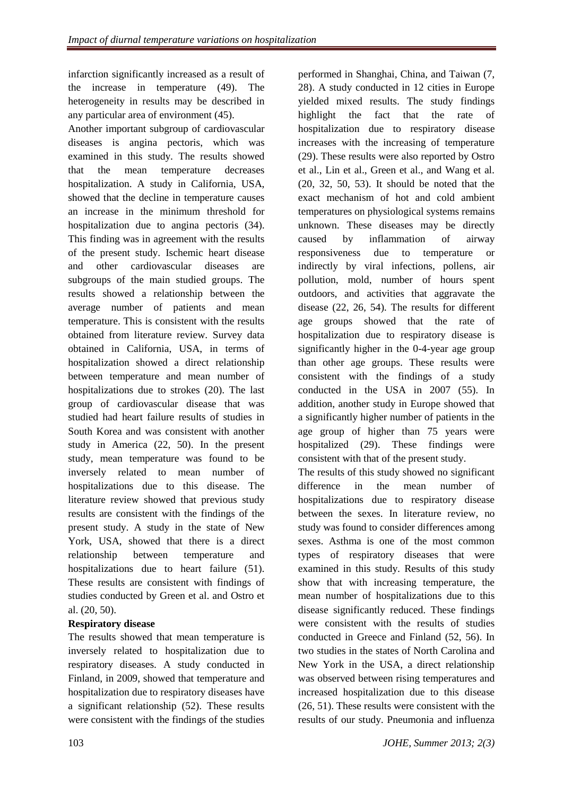infarction significantly increased as a result of the increase in temperature (49). The heterogeneity in results may be described in any particular area of environment (45).

Another important subgroup of cardiovascular diseases is angina pectoris, which was examined in this study. The results showed that the mean temperature decreases hospitalization. A study in California, USA, showed that the decline in temperature causes an increase in the minimum threshold for hospitalization due to angina pectoris (34). This finding was in agreement with the results of the present study. Ischemic heart disease and other cardiovascular diseases are subgroups of the main studied groups. The results showed a relationship between the average number of patients and mean temperature. This is consistent with the results obtained from literature review. Survey data obtained in California, USA, in terms of hospitalization showed a direct relationship between temperature and mean number of hospitalizations due to strokes (20). The last group of cardiovascular disease that was studied had heart failure results of studies in South Korea and was consistent with another study in America (22, 50). In the present study, mean temperature was found to be inversely related to mean number of hospitalizations due to this disease. The literature review showed that previous study results are consistent with the findings of the present study. A study in the state of New York, USA, showed that there is a direct relationship between temperature and hospitalizations due to heart failure (51). These results are consistent with findings of studies conducted by Green et al. and Ostro et al. (20, 50).

# **Respiratory disease**

The results showed that mean temperature is inversely related to hospitalization due to respiratory diseases. A study conducted in Finland, in 2009, showed that temperature and hospitalization due to respiratory diseases have a significant relationship (52). These results were consistent with the findings of the studies

performed in Shanghai, China, and Taiwan (7, 28). A study conducted in 12 cities in Europe yielded mixed results. The study findings highlight the fact that the rate of hospitalization due to respiratory disease increases with the increasing of temperature (29). These results were also reported by Ostro et al., Lin et al., Green et al., and Wang et al. (20, 32, 50, 53). It should be noted that the exact mechanism of hot and cold ambient temperatures on physiological systems remains unknown. These diseases may be directly caused by inflammation of airway responsiveness due to temperature or indirectly by viral infections, pollens, air pollution, mold, number of hours spent outdoors, and activities that aggravate the disease (22, 26, 54). The results for different age groups showed that the rate of hospitalization due to respiratory disease is significantly higher in the 0-4-year age group than other age groups. These results were consistent with the findings of a study conducted in the USA in 2007 (55). In addition, another study in Europe showed that a significantly higher number of patients in the age group of higher than 75 years were hospitalized (29). These findings were consistent with that of the present study.

The results of this study showed no significant difference in the mean number of hospitalizations due to respiratory disease between the sexes. In literature review, no study was found to consider differences among sexes. Asthma is one of the most common types of respiratory diseases that were examined in this study. Results of this study show that with increasing temperature, the mean number of hospitalizations due to this disease significantly reduced. These findings were consistent with the results of studies conducted in Greece and Finland (52, 56). In two studies in the states of North Carolina and New York in the USA, a direct relationship was observed between rising temperatures and increased hospitalization due to this disease (26, 51). These results were consistent with the results of our study. Pneumonia and influenza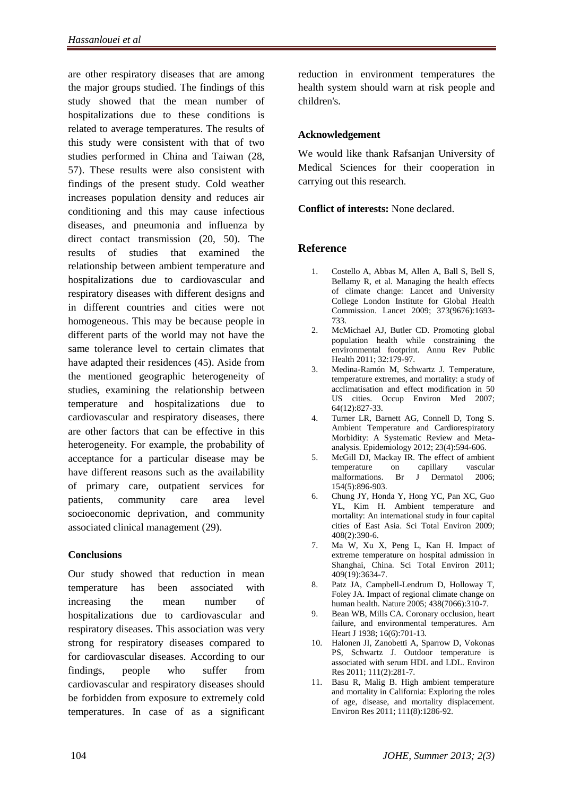are other respiratory diseases that are among the major groups studied. The findings of this study showed that the mean number of hospitalizations due to these conditions is related to average temperatures. The results of this study were consistent with that of two studies performed in China and Taiwan (28, 57). These results were also consistent with findings of the present study. Cold weather increases population density and reduces air conditioning and this may cause infectious diseases, and pneumonia and influenza by direct contact transmission (20, 50). The results of studies that examined the relationship between ambient temperature and hospitalizations due to cardiovascular and respiratory diseases with different designs and in different countries and cities were not homogeneous. This may be because people in different parts of the world may not have the same tolerance level to certain climates that have adapted their residences (45). Aside from the mentioned geographic heterogeneity of studies, examining the relationship between temperature and hospitalizations due to cardiovascular and respiratory diseases, there are other factors that can be effective in this heterogeneity. For example, the probability of acceptance for a particular disease may be have different reasons such as the availability of primary care, outpatient services for patients, community care area level socioeconomic deprivation, and community associated clinical management (29).

# **Conclusions**

Our study showed that reduction in mean temperature has been associated with increasing the mean number of hospitalizations due to cardiovascular and respiratory diseases. This association was very strong for respiratory diseases compared to for cardiovascular diseases. According to our findings, people who suffer from cardiovascular and respiratory diseases should be forbidden from exposure to extremely cold temperatures. In case of as a significant reduction in environment temperatures the health system should warn at risk people and children's.

#### **Acknowledgement**

We would like thank Rafsanian University of Medical Sciences for their cooperation in carrying out this research.

#### **Conflict of interests:** None declared.

# **Reference**

- 1. Costello A, Abbas M, Allen A, Ball S, Bell S, Bellamy R, et al. Managing the health effects of climate change: Lancet and University College London Institute for Global Health Commission. Lancet 2009; 373(9676):1693- 733.
- 2. McMichael AJ, Butler CD. Promoting global population health while constraining the environmental footprint. Annu Rev Public Health 2011; 32:179-97.
- 3. Medina-Ramón M, Schwartz J. Temperature, temperature extremes, and mortality: a study of acclimatisation and effect modification in 50 US cities. Occup Environ Med 2007; 64(12):827-33.
- 4. Turner LR, Barnett AG, Connell D, Tong S. Ambient Temperature and Cardiorespiratory Morbidity: A Systematic Review and Metaanalysis. Epidemiology 2012; 23(4):594-606.
- 5. McGill DJ, Mackay IR. The effect of ambient temperature on capillary vascular malformations. Br J Dermatol 2006; 154(5):896-903.
- 6. Chung JY, Honda Y, Hong YC, Pan XC, Guo YL, Kim H. Ambient temperature and mortality: An international study in four capital cities of East Asia. Sci Total Environ 2009; 408(2):390-6.
- 7. Ma W, Xu X, Peng L, Kan H. Impact of extreme temperature on hospital admission in Shanghai, China. Sci Total Environ 2011; 409(19):3634-7.
- 8. Patz JA, Campbell-Lendrum D, Holloway T, Foley JA. Impact of regional climate change on human health. Nature 2005; 438(7066):310-7.
- 9. Bean WB, Mills CA. Coronary occlusion, heart failure, and environmental temperatures. Am Heart J 1938; 16(6):701-13.
- 10. Halonen JI, Zanobetti A, Sparrow D, Vokonas PS, Schwartz J. Outdoor temperature is associated with serum HDL and LDL. Environ Res 2011; 111(2):281-7.
- 11. Basu R, Malig B. High ambient temperature and mortality in California: Exploring the roles of age, disease, and mortality displacement. Environ Res 2011; 111(8):1286-92.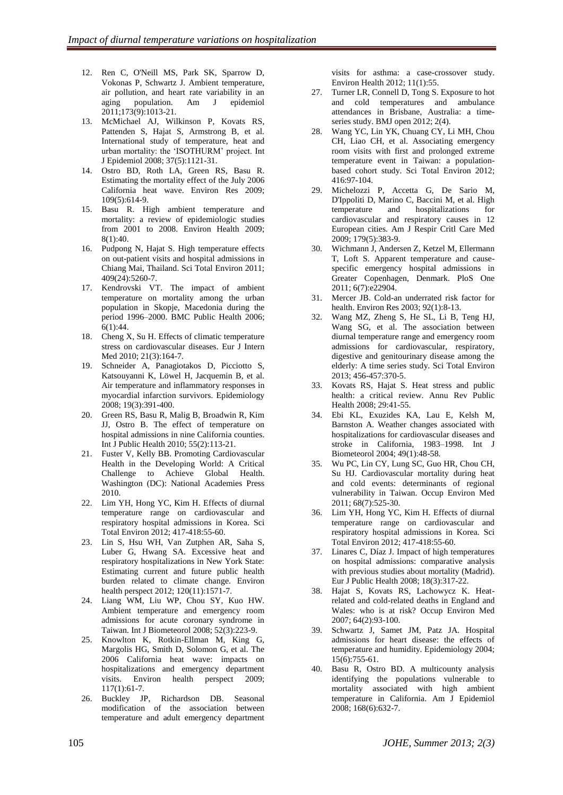- 12. Ren C, O'Neill MS, Park SK, Sparrow D, Vokonas P, Schwartz J. Ambient temperature, air pollution, and heart rate variability in an aging population. Am J epidemiol 2011;173(9):1013-21.
- 13. McMichael AJ, Wilkinson P, Kovats RS, Pattenden S, Hajat S, Armstrong B, et al. International study of temperature, heat and urban mortality: the 'ISOTHURM' project. Int J Epidemiol 2008; 37(5):1121-31.
- 14. Ostro BD, Roth LA, Green RS, Basu R. Estimating the mortality effect of the July 2006 California heat wave. Environ Res 2009; 109(5):614-9.
- 15. Basu R. High ambient temperature and mortality: a review of epidemiologic studies from 2001 to 2008. Environ Health 2009; 8(1):40.
- 16. Pudpong N, Hajat S. High temperature effects on out-patient visits and hospital admissions in Chiang Mai, Thailand. Sci Total Environ 2011; 409(24):5260-7.
- 17. Kendrovski VT. The impact of ambient temperature on mortality among the urban population in Skopje, Macedonia during the period 1996–2000. BMC Public Health 2006;  $6(1):44.$
- 18. Cheng X, Su H. Effects of climatic temperature stress on cardiovascular diseases. Eur J Intern Med 2010; 21(3):164-7.
- 19. Schneider A, Panagiotakos D, Picciotto S, Katsouyanni K, Löwel H, Jacquemin B, et al. Air temperature and inflammatory responses in myocardial infarction survivors. Epidemiology 2008; 19(3):391-400.
- 20. Green RS, Basu R, Malig B, Broadwin R, Kim JJ, Ostro B. The effect of temperature on hospital admissions in nine California counties. Int J Public Health 2010; 55(2):113-21.
- 21. Fuster V, Kelly BB. Promoting Cardiovascular Health in the Developing World: A Critical Challenge to Achieve Global Health. Washington (DC): National Academies Press 2010.
- 22. Lim YH, Hong YC, Kim H. Effects of diurnal temperature range on cardiovascular and respiratory hospital admissions in Korea. Sci Total Environ 2012; 417-418:55-60.
- 23. Lin S, Hsu WH, Van Zutphen AR, Saha S, Luber G, Hwang SA. Excessive heat and respiratory hospitalizations in New York State: Estimating current and future public health burden related to climate change. Environ health perspect 2012; 120(11):1571-7.
- 24. Liang WM, Liu WP, Chou SY, Kuo HW. Ambient temperature and emergency room admissions for acute coronary syndrome in Taiwan. Int J Biometeorol 2008; 52(3):223-9.
- 25. Knowlton K, Rotkin-Ellman M, King G, Margolis HG, Smith D, Solomon G, et al. The 2006 California heat wave: impacts on hospitalizations and emergency department visits. Environ health perspect 2009; 117(1):61-7.
- 26. Buckley JP, Richardson DB. Seasonal modification of the association between temperature and adult emergency department

visits for asthma: a case-crossover study. Environ Health 2012; 11(1):55.

- 27. Turner LR, Connell D, Tong S. Exposure to hot and cold temperatures and ambulance attendances in Brisbane, Australia: a timeseries study. BMJ open 2012; 2(4).
- 28. Wang YC, Lin YK, Chuang CY, Li MH, Chou CH, Liao CH, et al. Associating emergency room visits with first and prolonged extreme temperature event in Taiwan: a populationbased cohort study. Sci Total Environ 2012; 416:97-104.
- 29. Michelozzi P, Accetta G, De Sario M, D'Ippoliti D, Marino C, Baccini M, et al. High temperature and hospitalizations for cardiovascular and respiratory causes in 12 European cities. Am J Respir Critl Care Med 2009; 179(5):383-9.
- 30. Wichmann J, Andersen Z, Ketzel M, Ellermann T, Loft S. Apparent temperature and causespecific emergency hospital admissions in Greater Copenhagen, Denmark. PloS One 2011; 6(7):e22904.
- 31. Mercer JB. Cold-an underrated risk factor for health. Environ Res 2003; 92(1):8-13.
- 32. Wang MZ, Zheng S, He SL, Li B, Teng HJ, Wang SG, et al. The association between diurnal temperature range and emergency room admissions for cardiovascular, respiratory, digestive and genitourinary disease among the elderly: A time series study. Sci Total Environ 2013; 456-457:370-5.
- 33. Kovats RS, Hajat S. Heat stress and public health: a critical review. Annu Rev Public Health 2008; 29:41-55.
- 34. Ebi KL, Exuzides KA, Lau E, Kelsh M, Barnston A. Weather changes associated with hospitalizations for cardiovascular diseases and stroke in California, 1983–1998. Int J Biometeorol 2004; 49(1):48-58.
- 35. Wu PC, Lin CY, Lung SC, Guo HR, Chou CH, Su HJ. Cardiovascular mortality during heat and cold events: determinants of regional vulnerability in Taiwan. Occup Environ Med 2011; 68(7):525-30.
- 36. Lim YH, Hong YC, Kim H. Effects of diurnal temperature range on cardiovascular and respiratory hospital admissions in Korea. Sci Total Environ 2012; 417-418:55-60.
- 37. Linares C, Díaz J. Impact of high temperatures on hospital admissions: comparative analysis with previous studies about mortality (Madrid). Eur J Public Health 2008; 18(3):317-22.
- 38. Hajat S, Kovats RS, Lachowycz K. Heatrelated and cold-related deaths in England and Wales: who is at risk? Occup Environ Med 2007; 64(2):93-100.
- 39. Schwartz J, Samet JM, Patz JA. Hospital admissions for heart disease: the effects of temperature and humidity. Epidemiology 2004; 15(6):755-61.
- 40. Basu R, Ostro BD. A multicounty analysis identifying the populations vulnerable to mortality associated with high ambient temperature in California. Am J Epidemiol 2008; 168(6):632-7.